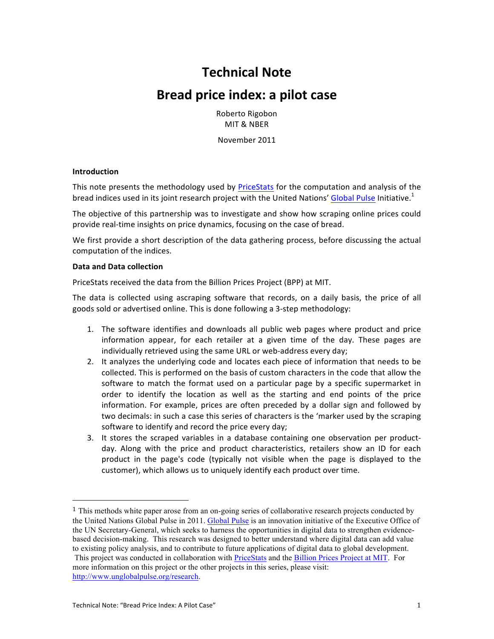# **Technical 
 Note**

# Bread price index: a pilot case

Roberto Rigobon MIT & NBFR

November 2011

## **Introduction**

This note presents the methodology used by PriceStats for the computation and analysis of the bread indices used in its joint research project with the United Nations' Global Pulse Initiative.<sup>1</sup>

The objective of this partnership was to investigate and show how scraping online prices could provide real-time insights on price dynamics, focusing on the case of bread.

We first provide a short description of the data gathering process, before discussing the actual computation of the indices.

#### Data and Data collection

PriceStats received the data from the Billion Prices Project (BPP) at MIT.

The data is collected using ascraping software that records, on a daily basis, the price of all goods sold or advertised online. This is done following a 3-step methodology:

- 1. The software identifies and downloads all public web pages where product and price information appear, for each retailer at a given time of the day. These pages are individually retrieved using the same URL or web-address every day;
- 2. It analyzes the underlying code and locates each piece of information that needs to be collected. This is performed on the basis of custom characters in the code that allow the software to match the format used on a particular page by a specific supermarket in order to identify the location as well as the starting and end points of the price information. For example, prices are often preceded by a dollar sign and followed by two decimals: in such a case this series of characters is the 'marker used by the scraping software to identify and record the price every day;
- 3. It stores the scraped variables in a database containing one observation per productday. Along with the price and product characteristics, retailers show an ID for each product in the page's code (typically not visible when the page is displayed to the customer), which allows us to uniquely identify each product over time.

<sup>&</sup>lt;sup>1</sup> This methods white paper arose from an on-going series of collaborative research projects conducted by the United Nations Global Pulse in 2011. Global Pulse is an innovation initiative of the Executive Office of the UN Secretary-General, which seeks to harness the opportunities in digital data to strengthen evidencebased decision-making. This research was designed to better understand where digital data can add value to existing policy analysis, and to contribute to future applications of digital data to global development. This project was conducted in collaboration with PriceStats and the Billion Prices Project at MIT. For more information on this project or the other projects in this series, please visit: http://www.unglobalpulse.org/research.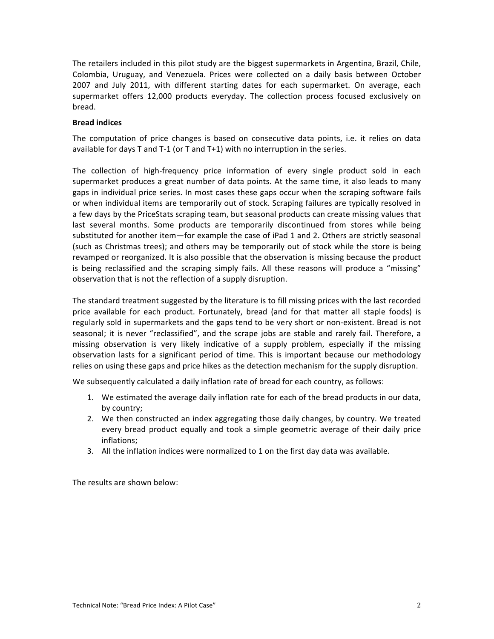The retailers included in this pilot study are the biggest supermarkets in Argentina, Brazil, Chile, Colombia, Uruguay, and Venezuela. Prices were collected on a daily basis between October 2007 and July 2011, with different starting dates for each supermarket. On average, each supermarket offers 12,000 products everyday. The collection process focused exclusively on bread.

## **Bread indices**

The computation of price changes is based on consecutive data points, i.e. it relies on data available for days T and T-1 (or T and T+1) with no interruption in the series.

The collection of high-frequency price information of every single product sold in each supermarket produces a great number of data points. At the same time, it also leads to many gaps in individual price series. In most cases these gaps occur when the scraping software fails or when individual items are temporarily out of stock. Scraping failures are typically resolved in a few days by the PriceStats scraping team, but seasonal products can create missing values that last several months. Some products are temporarily discontinued from stores while being substituted for another item—for example the case of iPad 1 and 2. Others are strictly seasonal (such as Christmas trees); and others may be temporarily out of stock while the store is being revamped or reorganized. It is also possible that the observation is missing because the product is being reclassified and the scraping simply fails. All these reasons will produce a "missing" observation that is not the reflection of a supply disruption.

The standard treatment suggested by the literature is to fill missing prices with the last recorded price available for each product. Fortunately, bread (and for that matter all staple foods) is regularly sold in supermarkets and the gaps tend to be very short or non-existent. Bread is not seasonal; it is never "reclassified", and the scrape jobs are stable and rarely fail. Therefore, a missing observation is very likely indicative of a supply problem, especially if the missing observation lasts for a significant period of time. This is important because our methodology relies on using these gaps and price hikes as the detection mechanism for the supply disruption.

We subsequently calculated a daily inflation rate of bread for each country, as follows:

- 1. We estimated the average daily inflation rate for each of the bread products in our data, by country;
- 2. We then constructed an index aggregating those daily changes, by country. We treated every bread product equally and took a simple geometric average of their daily price inflations;
- 3. All the inflation indices were normalized to 1 on the first day data was available.

The results are shown below: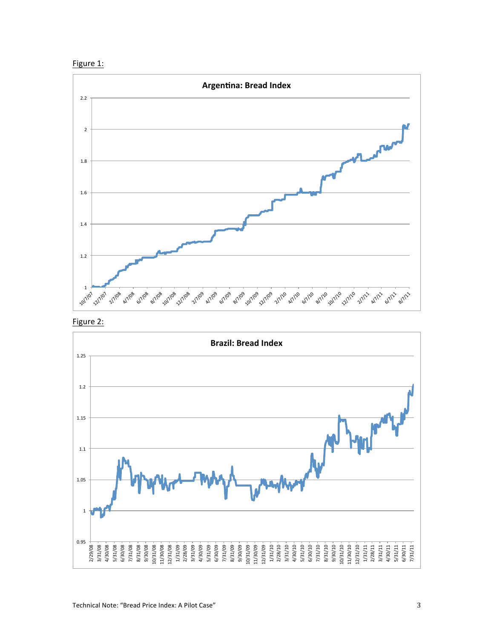





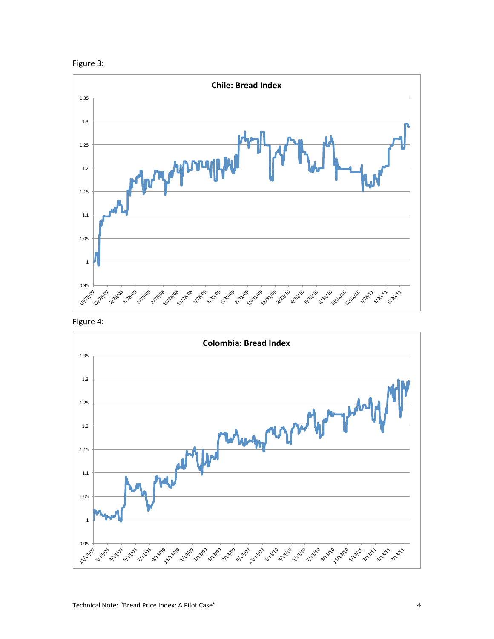





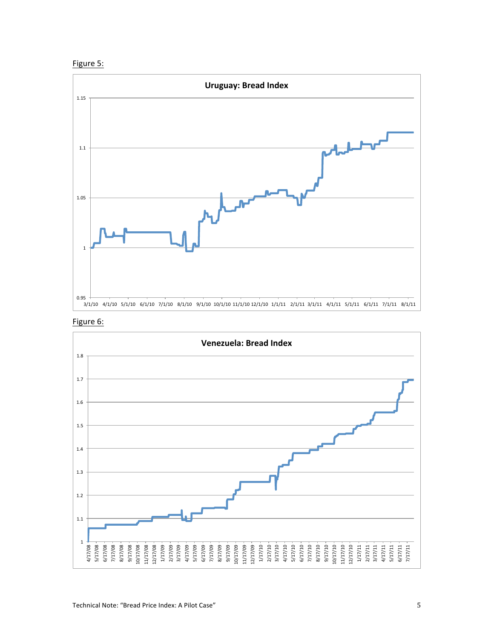



Figure 6: